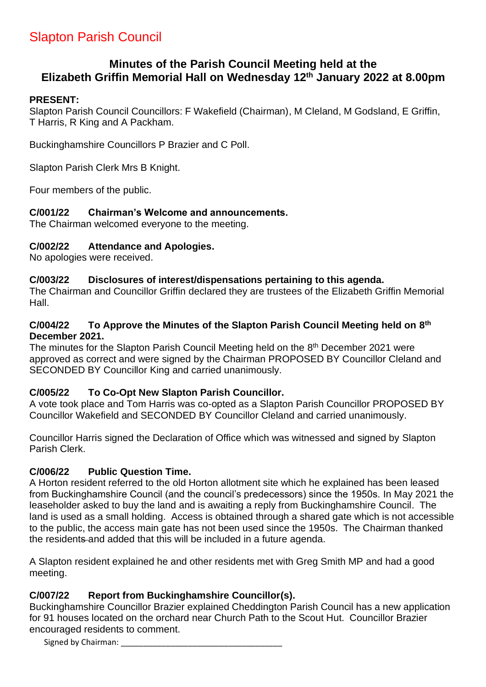# Slapton Parish Council

# **Minutes of the Parish Council Meeting held at the Elizabeth Griffin Memorial Hall on Wednesday 12th January 2022 at 8.00pm**

### **PRESENT:**

Slapton Parish Council Councillors: F Wakefield (Chairman), M Cleland, M Godsland, E Griffin, T Harris, R King and A Packham.

Buckinghamshire Councillors P Brazier and C Poll.

Slapton Parish Clerk Mrs B Knight.

Four members of the public.

### **C/001/22 Chairman's Welcome and announcements.**

The Chairman welcomed everyone to the meeting.

### **C/002/22 Attendance and Apologies.**

No apologies were received.

### **C/003/22 Disclosures of interest/dispensations pertaining to this agenda.**

The Chairman and Councillor Griffin declared they are trustees of the Elizabeth Griffin Memorial Hall.

### **C/004/22 To Approve the Minutes of the Slapton Parish Council Meeting held on 8 th December 2021.**

The minutes for the Slapton Parish Council Meeting held on the 8<sup>th</sup> December 2021 were approved as correct and were signed by the Chairman PROPOSED BY Councillor Cleland and SECONDED BY Councillor King and carried unanimously.

## **C/005/22 To Co-Opt New Slapton Parish Councillor.**

A vote took place and Tom Harris was co-opted as a Slapton Parish Councillor PROPOSED BY Councillor Wakefield and SECONDED BY Councillor Cleland and carried unanimously.

Councillor Harris signed the Declaration of Office which was witnessed and signed by Slapton Parish Clerk.

## **C/006/22 Public Question Time.**

A Horton resident referred to the old Horton allotment site which he explained has been leased from Buckinghamshire Council (and the council's predecessors) since the 1950s. In May 2021 the leaseholder asked to buy the land and is awaiting a reply from Buckinghamshire Council. The land is used as a small holding. Access is obtained through a shared gate which is not accessible to the public, the access main gate has not been used since the 1950s. The Chairman thanked the residents and added that this will be included in a future agenda.

A Slapton resident explained he and other residents met with Greg Smith MP and had a good meeting.

## **C/007/22 Report from Buckinghamshire Councillor(s).**

Buckinghamshire Councillor Brazier explained Cheddington Parish Council has a new application for 91 houses located on the orchard near Church Path to the Scout Hut. Councillor Brazier encouraged residents to comment.

Signed by Chairman: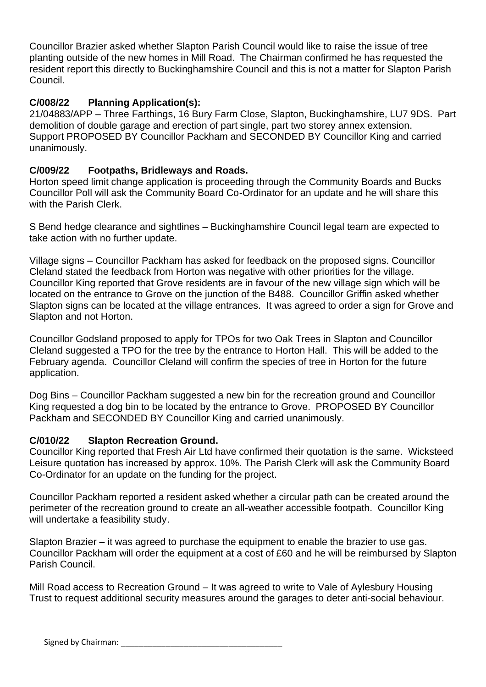Councillor Brazier asked whether Slapton Parish Council would like to raise the issue of tree planting outside of the new homes in Mill Road. The Chairman confirmed he has requested the resident report this directly to Buckinghamshire Council and this is not a matter for Slapton Parish Council.

# **C/008/22 Planning Application(s):**

21/04883/APP – Three Farthings, 16 Bury Farm Close, Slapton, Buckinghamshire, LU7 9DS. Part demolition of double garage and erection of part single, part two storey annex extension. Support PROPOSED BY Councillor Packham and SECONDED BY Councillor King and carried unanimously.

# **C/009/22 Footpaths, Bridleways and Roads.**

Horton speed limit change application is proceeding through the Community Boards and Bucks Councillor Poll will ask the Community Board Co-Ordinator for an update and he will share this with the Parish Clerk.

S Bend hedge clearance and sightlines – Buckinghamshire Council legal team are expected to take action with no further update.

Village signs – Councillor Packham has asked for feedback on the proposed signs. Councillor Cleland stated the feedback from Horton was negative with other priorities for the village. Councillor King reported that Grove residents are in favour of the new village sign which will be located on the entrance to Grove on the junction of the B488. Councillor Griffin asked whether Slapton signs can be located at the village entrances. It was agreed to order a sign for Grove and Slapton and not Horton.

Councillor Godsland proposed to apply for TPOs for two Oak Trees in Slapton and Councillor Cleland suggested a TPO for the tree by the entrance to Horton Hall. This will be added to the February agenda. Councillor Cleland will confirm the species of tree in Horton for the future application.

Dog Bins – Councillor Packham suggested a new bin for the recreation ground and Councillor King requested a dog bin to be located by the entrance to Grove. PROPOSED BY Councillor Packham and SECONDED BY Councillor King and carried unanimously.

# **C/010/22 Slapton Recreation Ground.**

Councillor King reported that Fresh Air Ltd have confirmed their quotation is the same. Wicksteed Leisure quotation has increased by approx. 10%. The Parish Clerk will ask the Community Board Co-Ordinator for an update on the funding for the project.

Councillor Packham reported a resident asked whether a circular path can be created around the perimeter of the recreation ground to create an all-weather accessible footpath. Councillor King will undertake a feasibility study.

Slapton Brazier – it was agreed to purchase the equipment to enable the brazier to use gas. Councillor Packham will order the equipment at a cost of £60 and he will be reimbursed by Slapton Parish Council.

Mill Road access to Recreation Ground – It was agreed to write to Vale of Aylesbury Housing Trust to request additional security measures around the garages to deter anti-social behaviour.

Signed by Chairman: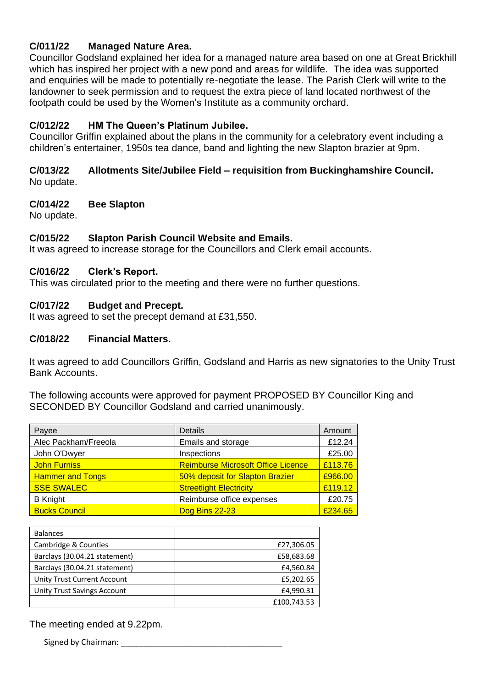### **C/011/22 Managed Nature Area.**

Councillor Godsland explained her idea for a managed nature area based on one at Great Brickhill which has inspired her project with a new pond and areas for wildlife. The idea was supported and enquiries will be made to potentially re-negotiate the lease. The Parish Clerk will write to the landowner to seek permission and to request the extra piece of land located northwest of the footpath could be used by the Women's Institute as a community orchard.

## **C/012/22 HM The Queen's Platinum Jubilee.**

Councillor Griffin explained about the plans in the community for a celebratory event including a children's entertainer, 1950s tea dance, band and lighting the new Slapton brazier at 9pm.

#### **C/013/22 Allotments Site/Jubilee Field – requisition from Buckinghamshire Council.** No update.

### **C/014/22 Bee Slapton**

No update.

### **C/015/22 Slapton Parish Council Website and Emails.**

It was agreed to increase storage for the Councillors and Clerk email accounts.

### **C/016/22 Clerk's Report.**

This was circulated prior to the meeting and there were no further questions.

### **C/017/22 Budget and Precept.**

It was agreed to set the precept demand at £31,550.

#### **C/018/22 Financial Matters.**

It was agreed to add Councillors Griffin, Godsland and Harris as new signatories to the Unity Trust Bank Accounts.

The following accounts were approved for payment PROPOSED BY Councillor King and SECONDED BY Councillor Godsland and carried unanimously.

| Payee                   | <b>Details</b>                            | Amount  |
|-------------------------|-------------------------------------------|---------|
| Alec Packham/Freeola    | Emails and storage                        | £12.24  |
| John O'Dwyer            | Inspections                               | £25.00  |
| <b>John Furniss</b>     | <b>Reimburse Microsoft Office Licence</b> | £113.76 |
| <b>Hammer and Tongs</b> | 50% deposit for Slapton Brazier           | £966.00 |
| <b>SSE SWALEC</b>       | <b>Streetlight Electricity</b>            | £119.12 |
| <b>B</b> Knight         | Reimburse office expenses                 | £20.75  |
| <b>Bucks Council</b>    | Dog Bins 22-23                            | £234.65 |

| <b>Balances</b>               |             |
|-------------------------------|-------------|
| Cambridge & Counties          | £27,306.05  |
| Barclays (30.04.21 statement) | £58,683.68  |
| Barclays (30.04.21 statement) | £4,560.84   |
| Unity Trust Current Account   | £5,202.65   |
| Unity Trust Savings Account   | £4,990.31   |
|                               | £100,743.53 |

The meeting ended at 9.22pm.

Signed by Chairman: **Example 20**